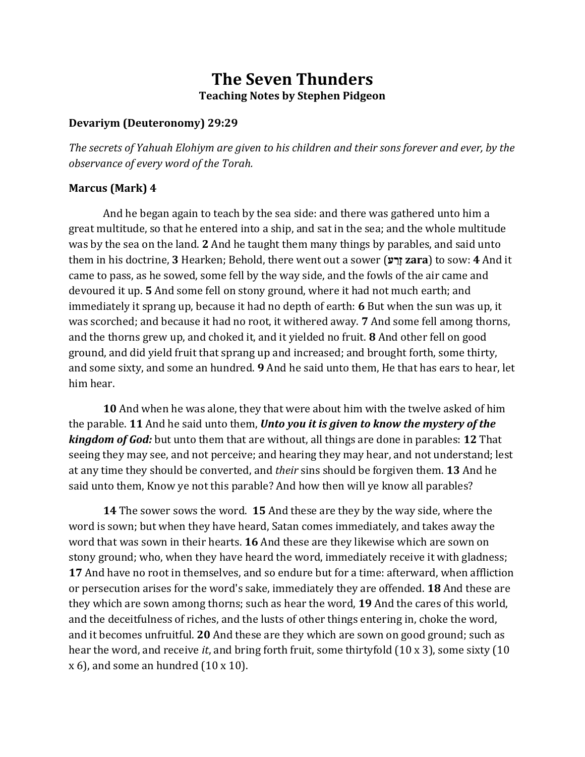# **The Seven Thunders Teaching Notes by Stephen Pidgeon**

#### **Devariym (Deuteronomy) 29:29**

*The secrets of Yahuah Elohiym are given to his children and their sons forever and ever, by the observance of every word of the Torah.*

#### **Marcus (Mark) 4**

And he began again to teach by the sea side: and there was gathered unto him a great multitude, so that he entered into a ship, and sat in the sea; and the whole multitude was by the sea on the land. **2** And he taught them many things by parables, and said unto them in his doctrine, **3** Hearken; Behold, there went out a sower (**ז ָרַע zara**) to sow: **4** And it came to pass, as he sowed, some fell by the way side, and the fowls of the air came and devoured it up. **5** And some fell on stony ground, where it had not much earth; and immediately it sprang up, because it had no depth of earth: **6** But when the sun was up, it was scorched; and because it had no root, it withered away. **7** And some fell among thorns, and the thorns grew up, and choked it, and it yielded no fruit. **8** And other fell on good ground, and did yield fruit that sprang up and increased; and brought forth, some thirty, and some sixty, and some an hundred. **9** And he said unto them, He that has ears to hear, let him hear.

**10** And when he was alone, they that were about him with the twelve asked of him the parable. **11** And he said unto them, *Unto you it is given to know the mystery of the kingdom of God:* but unto them that are without, all things are done in parables: **12** That seeing they may see, and not perceive; and hearing they may hear, and not understand; lest at any time they should be converted, and *their* sins should be forgiven them. **13** And he said unto them, Know ye not this parable? And how then will ye know all parables?

**14** The sower sows the word. **15** And these are they by the way side, where the word is sown; but when they have heard, Satan comes immediately, and takes away the word that was sown in their hearts. **16** And these are they likewise which are sown on stony ground; who, when they have heard the word, immediately receive it with gladness; **17** And have no root in themselves, and so endure but for a time: afterward, when affliction or persecution arises for the word's sake, immediately they are offended. **18** And these are they which are sown among thorns; such as hear the word, **19** And the cares of this world, and the deceitfulness of riches, and the lusts of other things entering in, choke the word, and it becomes unfruitful. **20** And these are they which are sown on good ground; such as hear the word, and receive *it*, and bring forth fruit, some thirtyfold (10 x 3), some sixty (10  $x$  6), and some an hundred  $(10x10)$ .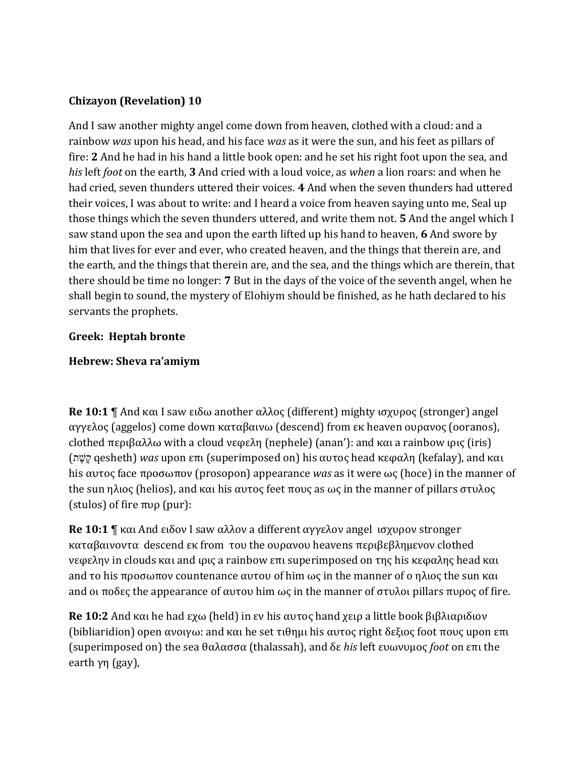### **Chizayon (Revelation) 10**

And I saw another mighty angel come down from heaven, clothed with a cloud: and a rainbow *was* upon his head, and his face *was* as it were the sun, and his feet as pillars of fire: **2** And he had in his hand a little book open: and he set his right foot upon the sea, and *his* left *foot* on the earth, **3** And cried with a loud voice, as *when* a lion roars: and when he had cried, seven thunders uttered their voices. **4** And when the seven thunders had uttered their voices, I was about to write: and I heard a voice from heaven saying unto me, Seal up those things which the seven thunders uttered, and write them not. **5** And the angel which I saw stand upon the sea and upon the earth lifted up his hand to heaven, **6** And swore by him that lives for ever and ever, who created heaven, and the things that therein are, and the earth, and the things that therein are, and the sea, and the things which are therein, that there should be time no longer: **7** But in the days of the voice of the seventh angel, when he shall begin to sound, the mystery of Elohiym should be finished, as he hath declared to his servants the prophets.

### **Greek: Heptah bronte**

### **Hebrew: Sheva ra'amiym**

**Re 10:1** ¶ And και I saw ειδω another αλλος (different) mighty ισχυρος (stronger) angel αγγελος (aggelos) come down καταβαινω (descend) from εκ heaven ουρανος (ooranos), clothed περιβαλλω with a cloud νεφελη (nephele) (anan'): and και a rainbow ιρις (iris) (ק ֶש ֶת qesheth) *was* upon επι (superimposed on) his αυτος head κεφαλη (kefalay), and και his αυτος face προσωπον (prosopon) appearance *was* as it were ως (hoce) in the manner of the sun ηλιος (helios), and και his αυτος feet πους as ως in the manner of pillars στυλος (stulos) of fire πυρ (pur):

**Re 10:1** ¶ και And ειδον I saw αλλον a different αγγελον angel ισχυρον stronger καταβαινοντα descend εκ from του the ουρανου heavens περιβεβλημενον clothed νεφελην in clouds και and ιρις a rainbow επι superimposed on της his κεφαλης head και and το his προσωπον countenance αυτου of him ως in the manner of ο ηλιος the sun και and οι ποδες the appearance of αυτου him ως in the manner of στυλοι pillars πυρος of fire.

**Re 10:2** And και he had εχω (held) in εν his αυτος hand χειρ a little book βιβλιαριδιον (bibliaridion) open ανοιγω: and και he set τιθημι his αυτος right δεξιος foot πους upon επι (superimposed on) the sea θαλασσα (thalassah), and δε *his* left ευωνυμος *foot* on επι the earth γη (gay),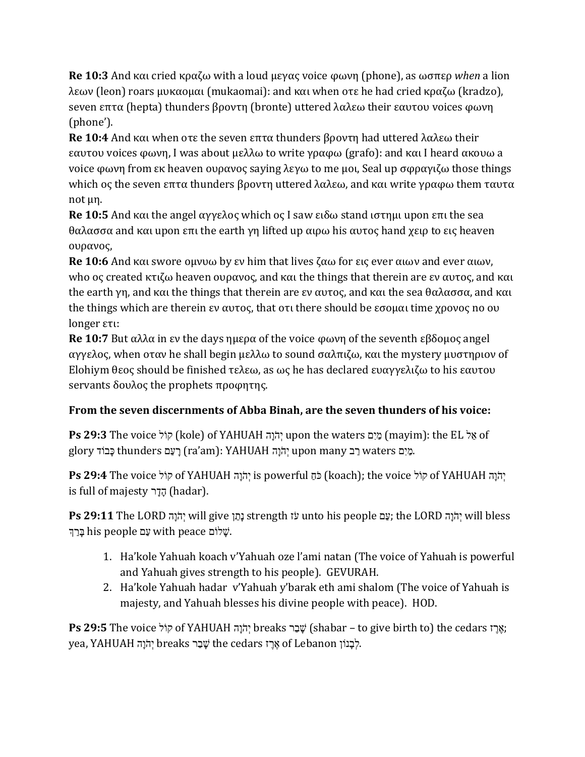**Re 10:3** And και cried κραζω with a loud μεγας voice φωνη (phone), as ωσπερ *when* a lion λεων (leon) roars μυκαομαι (mukaomai): and και when οτε he had cried κραζω (kradzo), seven επτα (hepta) thunders βροντη (bronte) uttered λαλεω their εαυτου voices φωνη (phone').

**Re 10:4** And και when οτε the seven επτα thunders βροντη had uttered λαλεω their εαυτου voices φωνη, I was about μελλω to write γραφω (grafo): and και I heard ακουω a voice φωνη from εκ heaven ουρανος saying λεγω to me μοι, Seal up σφραγιζω those things which ος the seven επτα thunders βροντη uttered λαλεω, and και write γραφω them ταυτα not μη.

**Re 10:5** And και the angel αγγελος which ος I saw ειδω stand ιστημι upon επι the sea θαλασσα and και upon επι the earth γη lifted up αιρω his αυτος hand χειρ to εις heaven ουρανος,

**Re 10:6** And και swore ομνυω by εν him that lives ζαω for εις ever αιων and ever αιων, who ος created κτιζω heaven ουρανος, and και the things that therein are εν αυτος, and και the earth γη, and και the things that therein are εν αυτος, and και the sea θαλασσα, and και the things which are therein εν αυτος, that οτι there should be εσομαι time χρονος no ου longer ετι:

**Re 10:7** But αλλα in εν the days ημερα of the voice φωνη of the seventh εβδομος angel αγγελος, when οταν he shall begin μελλω to sound σαλπιζω, και the mystery μυστηριον of Elohiym θεος should be finished τελεω, as ως he has declared ευαγγελιζω to his εαυτου servants δουλος the prophets προφητης.

## **From the seven discernments of Abba Binah, are the seven thunders of his voice:**

**Ps 29:3** The voice הוֹל (kole) of YAHUAH יְהֹוֵה upon the waters מֵל (mayim): the EL הֵא glory בַּבוֹד thunders בַעָם (ra'am): YAHUAH הַיָּם waters בַּכוֹד ca'am).

הָנֶה of YAHUAH הוֹל (koach); the voice קוֹל of YAHUAH (דּוֹל p**s 29:4** The voice ה is full of majesty הֲדֵר (hadar).

 bless will הָ יו ְֺי LORD the; עִ מ people his unto זו ע strength ןְקִ נ give will הָ יו ְֺי LORD The **29:11 Ps** יִם his people שֵׁ with peace הַרְךָ with  $\ddot{v}$ .

- 1. Ha'kole Yahuah koach v'Yahuah oze l'ami natan (The voice of Yahuah is powerful and Yahuah gives strength to his people). GEVURAH.
- 2. Ha'kole Yahuah hadar v'Yahuah y'barak eth ami shalom (The voice of Yahuah is majesty, and Yahuah blesses his divine people with peace). HOD.

**Ps 29:5** The voice יְהֹוָה of YAHUAH יְהֹוָה breaks שָׁבַר (shabar – to give birth to) the cedars יְאֵרָז yea, YAHUAH יְהֹוֵה breaks יָהֹוֵה the cedars אֲרֵז of Lebanon (הָבָנוֹן